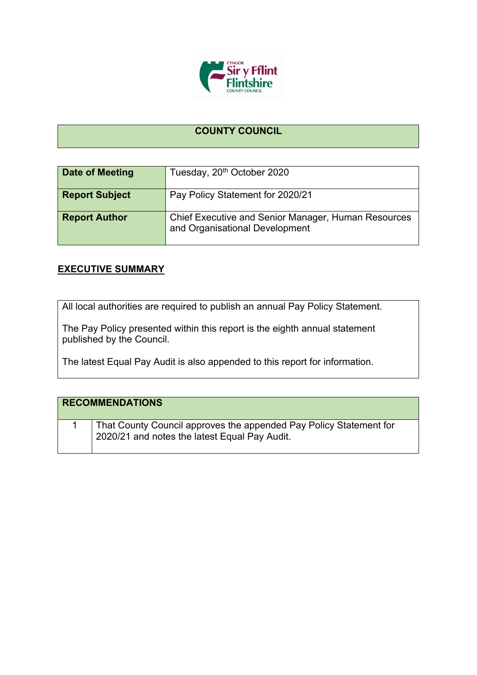

## **COUNTY COUNCIL**

| Date of Meeting       | Tuesday, 20 <sup>th</sup> October 2020                                                |
|-----------------------|---------------------------------------------------------------------------------------|
| <b>Report Subject</b> | Pay Policy Statement for 2020/21                                                      |
| <b>Report Author</b>  | Chief Executive and Senior Manager, Human Resources<br>and Organisational Development |

## **EXECUTIVE SUMMARY**

All local authorities are required to publish an annual Pay Policy Statement.

The Pay Policy presented within this report is the eighth annual statement published by the Council.

The latest Equal Pay Audit is also appended to this report for information.

| <b>RECOMMENDATIONS</b>                                                                                              |
|---------------------------------------------------------------------------------------------------------------------|
| That County Council approves the appended Pay Policy Statement for<br>2020/21 and notes the latest Equal Pay Audit. |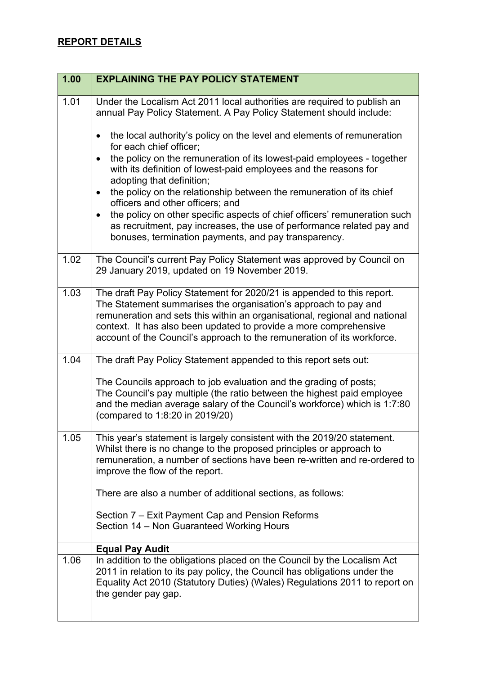| 1.00 | <b>EXPLAINING THE PAY POLICY STATEMENT</b>                                                                                                                                                                                                                                                                                                                              |
|------|-------------------------------------------------------------------------------------------------------------------------------------------------------------------------------------------------------------------------------------------------------------------------------------------------------------------------------------------------------------------------|
| 1.01 | Under the Localism Act 2011 local authorities are required to publish an<br>annual Pay Policy Statement. A Pay Policy Statement should include:                                                                                                                                                                                                                         |
|      | the local authority's policy on the level and elements of remuneration<br>$\bullet$<br>for each chief officer;                                                                                                                                                                                                                                                          |
|      | the policy on the remuneration of its lowest-paid employees - together<br>$\bullet$<br>with its definition of lowest-paid employees and the reasons for<br>adopting that definition;                                                                                                                                                                                    |
|      | the policy on the relationship between the remuneration of its chief<br>$\bullet$<br>officers and other officers; and                                                                                                                                                                                                                                                   |
|      | the policy on other specific aspects of chief officers' remuneration such<br>$\bullet$<br>as recruitment, pay increases, the use of performance related pay and<br>bonuses, termination payments, and pay transparency.                                                                                                                                                 |
| 1.02 | The Council's current Pay Policy Statement was approved by Council on<br>29 January 2019, updated on 19 November 2019.                                                                                                                                                                                                                                                  |
| 1.03 | The draft Pay Policy Statement for 2020/21 is appended to this report.<br>The Statement summarises the organisation's approach to pay and<br>remuneration and sets this within an organisational, regional and national<br>context. It has also been updated to provide a more comprehensive<br>account of the Council's approach to the remuneration of its workforce. |
| 1.04 | The draft Pay Policy Statement appended to this report sets out:                                                                                                                                                                                                                                                                                                        |
|      | The Councils approach to job evaluation and the grading of posts;<br>The Council's pay multiple (the ratio between the highest paid employee<br>and the median average salary of the Council's workforce) which is 1:7:80<br>(compared to 1:8:20 in 2019/20)                                                                                                            |
| 1.05 | This year's statement is largely consistent with the 2019/20 statement.<br>Whilst there is no change to the proposed principles or approach to<br>remuneration, a number of sections have been re-written and re-ordered to<br>improve the flow of the report.                                                                                                          |
|      | There are also a number of additional sections, as follows:                                                                                                                                                                                                                                                                                                             |
|      | Section 7 – Exit Payment Cap and Pension Reforms<br>Section 14 - Non Guaranteed Working Hours                                                                                                                                                                                                                                                                           |
|      | <b>Equal Pay Audit</b>                                                                                                                                                                                                                                                                                                                                                  |
| 1.06 | In addition to the obligations placed on the Council by the Localism Act<br>2011 in relation to its pay policy, the Council has obligations under the<br>Equality Act 2010 (Statutory Duties) (Wales) Regulations 2011 to report on<br>the gender pay gap.                                                                                                              |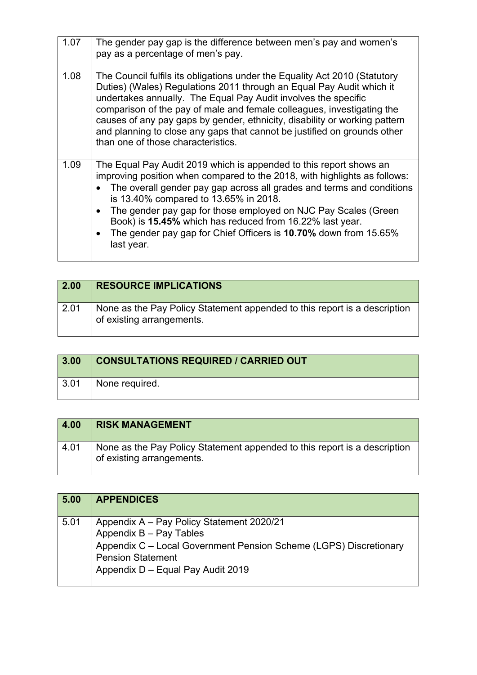| 1.07 | The gender pay gap is the difference between men's pay and women's<br>pay as a percentage of men's pay.                                                                                                                                                                                                                                                                                                                                                                                                                  |
|------|--------------------------------------------------------------------------------------------------------------------------------------------------------------------------------------------------------------------------------------------------------------------------------------------------------------------------------------------------------------------------------------------------------------------------------------------------------------------------------------------------------------------------|
| 1.08 | The Council fulfils its obligations under the Equality Act 2010 (Statutory<br>Duties) (Wales) Regulations 2011 through an Equal Pay Audit which it<br>undertakes annually. The Equal Pay Audit involves the specific<br>comparison of the pay of male and female colleagues, investigating the<br>causes of any pay gaps by gender, ethnicity, disability or working pattern<br>and planning to close any gaps that cannot be justified on grounds other<br>than one of those characteristics.                           |
| 1.09 | The Equal Pay Audit 2019 which is appended to this report shows an<br>improving position when compared to the 2018, with highlights as follows:<br>The overall gender pay gap across all grades and terms and conditions<br>$\bullet$<br>is 13.40% compared to 13.65% in 2018.<br>The gender pay gap for those employed on NJC Pay Scales (Green<br>$\bullet$<br>Book) is 15.45% which has reduced from 16.22% last year.<br>The gender pay gap for Chief Officers is 10.70% down from 15.65%<br>$\bullet$<br>last year. |

| $\vert$ 2.00 | <b>RESOURCE IMPLICATIONS</b>                                                                           |
|--------------|--------------------------------------------------------------------------------------------------------|
| 2.01         | None as the Pay Policy Statement appended to this report is a description<br>of existing arrangements. |

| 3.00 | <b>CONSULTATIONS REQUIRED / CARRIED OUT</b> |
|------|---------------------------------------------|
| 3.01 | <sup>1</sup> None required.                 |

| 4.00 | <b>RISK MANAGEMENT</b>                                                                                 |
|------|--------------------------------------------------------------------------------------------------------|
| 4.01 | None as the Pay Policy Statement appended to this report is a description<br>of existing arrangements. |

| 5.00 | <b>APPENDICES</b>                                                                                                                                                                                          |
|------|------------------------------------------------------------------------------------------------------------------------------------------------------------------------------------------------------------|
| 5.01 | Appendix A - Pay Policy Statement 2020/21<br>Appendix B - Pay Tables<br>Appendix C - Local Government Pension Scheme (LGPS) Discretionary<br><b>Pension Statement</b><br>Appendix D - Equal Pay Audit 2019 |